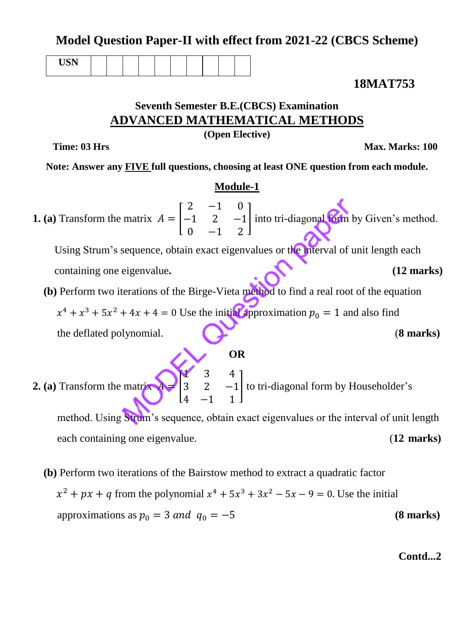**Model Question Paper-II with effect from 2021-22 (CBCS Scheme)**

| $+ + - +$<br>--- |  |  |  |  |  |
|------------------|--|--|--|--|--|
|                  |  |  |  |  |  |

**18MAT753**

# **Seventh Semester B.E.(CBCS) Examination ADVANCED MATHEMATICAL METHODS**

**(Open Elective)**

**Time: 03 Hrs** Max. Marks: 100

**Note: Answer any FIVE full questions, choosing at least ONE question from each module.**

# **Module-1**

**1. (a)** Transform the matrix  $\overline{c}$ —  $\boldsymbol{0}$ into tri-diagonal form by Given's method.

Using Strum's sequence, obtain exact eigenvalues or the interval of unit length each containing one eigenvalue. **(12 marks) (12 marks)** 

 **(b)** Perform two iterations of the Birge-Vieta method to find a real root of the equation

 $x^4 + x^3 + 5x^2 + 4x + 4 = 0$  Use the initial approximation  $p_0 = 1$  and also find

the deflated polynomial. (**8 marks)**

**2. (a)** Transform the matrix  $\mathbf{I}$ 3 4 to tri-diagonal form by Householder's method. Using Strum's sequence, obtain exact eigenvalues or the interval of unit length each containing one eigenvalue. (**12 marks)**

**OR**

 **(b)** Perform two iterations of the Bairstow method to extract a quadratic factor  $x^2 + px + q$  from the polynomial  $x^4 + 5x^3 + 3x^2 - 5x - 9 = 0$ . Use the initial approximations as  $p_0 = 3$  and  $q_0 = -5$  (8 marks)

# **Contd...2**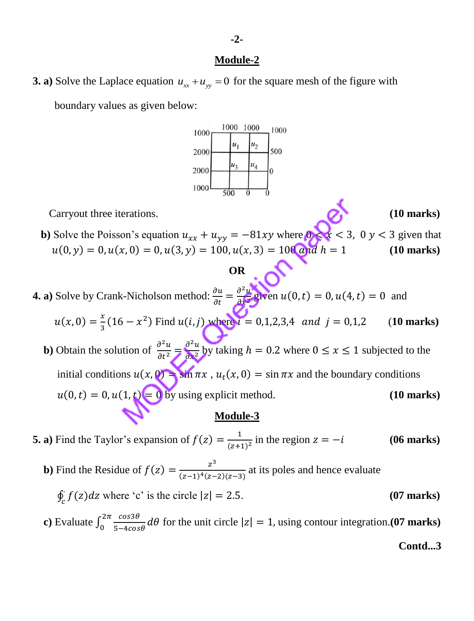## **Module-2**

**3. a**) Solve the Laplace equation  $u_{xx} + u_{yy} = 0$  for the square mesh of the figure with

boundary values as given below:



**Carryout three iterations. (10 marks) (10 marks)** 

- 
- **b**) Solve the Poisson's equation  $u_{xx} + u_{yy} = -81xy$  where  $0 \le x \le 3$ ,  $0 y \le 3$  given that  $u(0, y) = 0, u(x, 0) = 0, u(3, y) = 100, u(x, 3) = 100$  and  $h = 1$  (10 marks)

# **OR**

- **4. a**) Solve by Crank-Nicholson method:  $\frac{\partial}{\partial x}$ д  $\partial^2$  $\frac{\partial}{\partial x^2}$  given  $u(0,t) = 0$ ,  $u(4,t) = 0$  and
	- $\mathcal{X}$  $\frac{x}{3}(16-x^2)$  Find  $u(i,j)$  where  $i = 0,1,2,3,4$  and  $j = 0,1,2$  (10 marks)
- **b**) Obtain the solution of  $\frac{\partial^2}{\partial x^2}$ д  $\partial^2$  $\frac{\partial u}{\partial x^2}$  by taking  $h = 0.2$  where  $0 \le x \le 1$  subjected to the initial conditions  $u(x, 0) = \sin \pi x$ ,  $u_t(x, 0) = \sin \pi x$  and the boundary conditions  $u(0, t) = 0, u(1, t) = 0$  by using explicit method. (10 **marks**)<br>**Module-3**

# **Module-3**

**5. a)** Find the Taylor's expansion of  $f(z) = \frac{1}{z-1}$  $\frac{1}{(z+1)^2}$  in the region  $z = -i$  (06 marks)

**b**) Find the Residue of  $f(z) = \frac{z^3}{(z-1)^4(z-1)^2}$  $\frac{2}{(z-1)^4(z-2)(z-3)}$  at its poles and hence evaluate

 $\int_{c}^{5} f(z) dz$  where 'c' is the circle  $|z| = 2.5$ . (07 marks)

**c**) Evaluate  $\int_{0}^{2\pi} \frac{c}{\epsilon}$  $\frac{f_{\text{max}}}{5-4\cos\theta}d\theta$  for the unit circle  $|z|=1$ , using contour integration.**(07 marks)** 

**Contd...3**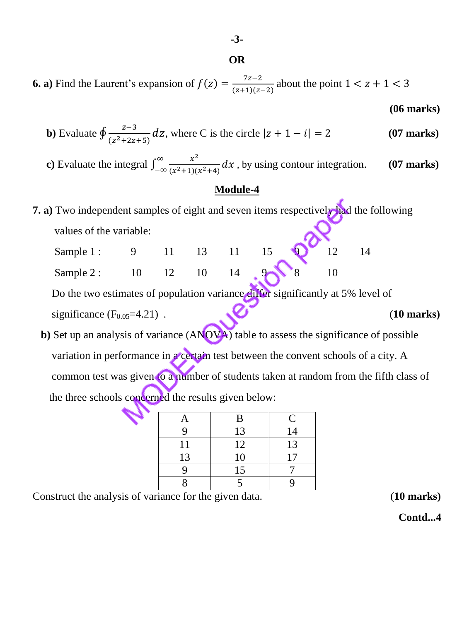**-3-**

## **OR**

**6. a)** Find the Laurent's expansion of  $f(z) = \frac{7}{6!}$  $\frac{1}{(z+1)(z-2)}$  about the point 1

 **(06 marks)**

**b)** Evaluate 
$$
\oint \frac{z-3}{(z^2+2z+5)} dz
$$
, where C is the circle  $|z + 1 - i| = 2$  (07 marks)

**c**) Evaluate the integral  $\int_{-\infty}^{\infty} \frac{x^2}{(x^2+1)^2} dx$  $(x^2+1)(x^2)$  $\infty$  $\int_{-\infty}^{\infty} \frac{x}{(x^2+1)(x^2+4)} dx$ , by using contour integration. (07 marks)

# **Module-4**

**7. a)** Two independent samples of eight and seven items respectively had the following values of the variable:

| Sample 1: | $\Omega$ |                     |  | $11 \t 13 \t 11 \t 15 \t 9$ | $\overline{12}$ |  |
|-----------|----------|---------------------|--|-----------------------------|-----------------|--|
| Sample 2: | 10       | $12 \t10 \t14 \t28$ |  |                             |                 |  |

 Do the two estimates of population variance differ significantly at 5% level of significance  $(F_{0.05} = 4.21)$ . (10 marks)

**b**) Set up an analysis of variance (ANOVA) table to assess the significance of possible variation in performance in a certain test between the convent schools of a city. A common test was given to a number of students taken at random from the fifth class of the three schools concerned the results given below:

| A  | B  | $\mathsf{C}$ |
|----|----|--------------|
|    | 13 | 14           |
| 11 | 12 | 13           |
| 13 | 10 | 17           |
|    | 15 |              |
|    |    |              |

Construct the analysis of variance for the given data. (**10 marks)**

 **Contd...4**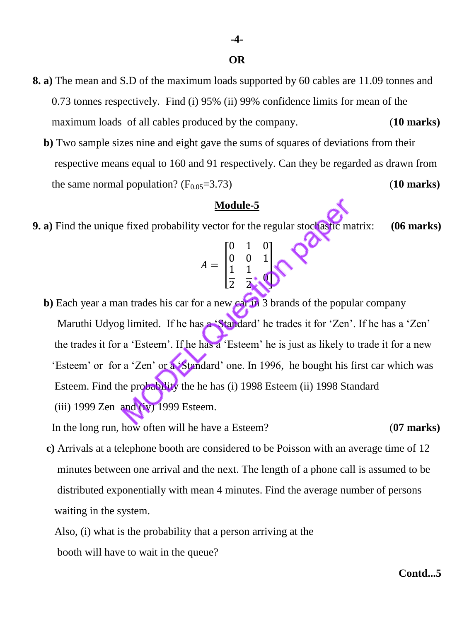## **OR**

- **8. a)** The mean and S.D of the maximum loads supported by 60 cables are 11.09 tonnes and 0.73 tonnes respectively. Find (i) 95% (ii) 99% confidence limits for mean of the maximum loads of all cables produced by the company. (**10 marks)**
	- **b)** Two sample sizes nine and eight gave the sums of squares of deviations from their respective means equal to 160 and 91 respectively. Can they be regarded as drawn from the same normal population?  $(F_{0.05} = 3.73)$  (10 marks)

## **Module-5**

**9. a)** Find the unique fixed probability vector for the regular stochastic matrix: **(06 marks)**

$$
A = \begin{bmatrix} 0 & 1 & 0 \\ 0 & 0 & 1 \\ \frac{1}{2} & \frac{1}{2} & 0 \end{bmatrix}
$$

**b**) Each year a man trades his car for a new car in 3 brands of the popular company Maruthi Udyog limited. If he has a 'Standard' he trades it for 'Zen'. If he has a 'Zen' the trades it for a 'Esteem'. If he has a 'Esteem' he is just as likely to trade it for a new 'Esteem' or for a 'Zen' or a 'Standard' one. In 1996, he bought his first car which was Esteem. Find the probability the he has (i) 1998 Esteem (ii) 1998 Standard (iii) 1999 Zen and  $(iv)$  1999 Esteem.

In the long run, how often will he have a Esteem? (**07 marks)** 

- **c)** Arrivals at a telephone booth are considered to be Poisson with an average time of 12 minutes between one arrival and the next. The length of a phone call is assumed to be distributed exponentially with mean 4 minutes. Find the average number of persons waiting in the system.
	- Also, (i) what is the probability that a person arriving at the booth will have to wait in the queue?